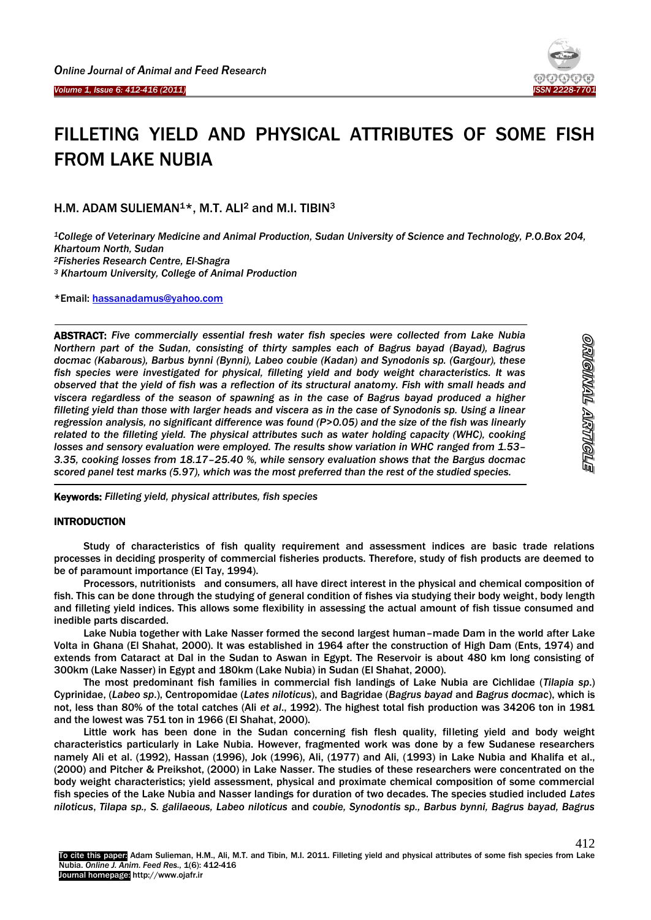Ï

1

-



# FILLETING YIELD AND PHYSICAL ATTRIBUTES OF SOME FISH FROM LAKE NUBIA

H.M. ADAM SULIEMAN<sup>1\*</sup>, M.T. ALI<sup>2</sup> and M.I. TIBIN<sup>3</sup>

*College of Veterinary Medicine and Animal Production, Sudan University of Science and Technology, P.O.Box 204, Khartoum North, Sudan Fisheries Research Centre, El-Shagra Khartoum University, College of Animal Production*

\*Email: [hassanadamus@yahoo.com](mailto:hassanadamus@yahoo.com)

ABSTRACT: *Five commercially essential fresh water fish species were collected from Lake Nubia Northern part of the Sudan, consisting of thirty samples each of Bagrus bayad (Bayad), Bagrus docmac (Kabarous), Barbus bynni (Bynni), Labeo coubie (Kadan) and Synodonis sp. (Gargour), these fish species were investigated for physical, filleting yield and body weight characteristics. It was observed that the yield of fish was a reflection of its structural anatomy. Fish with small heads and viscera regardless of the season of spawning as in the case of Bagrus bayad produced a higher filleting yield than those with larger heads and viscera as in the case of Synodonis sp. Using a linear regression analysis, no significant difference was found (P>0.05) and the size of the fish was linearly related to the filleting yield. The physical attributes such as water holding capacity (WHC), cooking*  losses and sensory evaluation were employed. The results show variation in WHC ranged from 1.53-*3.35, cooking losses from 18.17–25.40 %, while sensory evaluation shows that the Bargus docmac scored panel test marks (5.97), which was the most preferred than the rest of the studied species.* 

Keywords: *Filleting yield, physical attributes, fish species*

## **INTRODUCTION**

Study of characteristics of fish quality requirement and assessment indices are basic trade relations processes in deciding prosperity of commercial fisheries products. Therefore, study of fish products are deemed to be of paramount importance (El Tay, 1994).

Processors, nutritionists and consumers, all have direct interest in the physical and chemical composition of fish. This can be done through the studying of general condition of fishes via studying their body weight, body length and filleting yield indices. This allows some flexibility in assessing the actual amount of fish tissue consumed and inedible parts discarded.

Lake Nubia together with Lake Nasser formed the second largest human–made Dam in the world after Lake Volta in Ghana (El Shahat, 2000). It was established in 1964 after the construction of High Dam (Ents, 1974) and extends from Cataract at Dal in the Sudan to Aswan in Egypt. The Reservoir is about 480 km long consisting of 300km (Lake Nasser) in Egypt and 180km (Lake Nubia) in Sudan (El Shahat, 2000).

The most predominant fish families in commercial fish landings of Lake Nubia are Cichlidae (*Tilapia sp*.) Cyprinidae, (*Labeo sp*.), Centropomidae (*Lates niloticus*), and Bagridae (*Bagrus bayad* and *Bagrus docmac*), which is not, less than 80% of the total catches (Ali *et al*., 1992). The highest total fish production was 34206 ton in 1981 and the lowest was 751 ton in 1966 (El Shahat, 2000).

Little work has been done in the Sudan concerning fish flesh quality, filleting yield and body weight characteristics particularly in Lake Nubia. However, fragmented work was done by a few Sudanese researchers namely Ali et al. (1992), Hassan (1996), Jok (1996), Ali, (1977) and Ali, (1993) in Lake Nubia and Khalifa et al., (2000) and Pitcher & Preikshot, (2000) in Lake Nasser. The studies of these researchers were concentrated on the body weight characteristics; yield assessment, physical and proximate chemical composition of some commercial fish species of the Lake Nubia and Nasser landings for duration of two decades. The species studied included *Lates niloticus*, *Tilapa sp., S. galilaeous, Labeo niloticus* and *coubie, Synodontis sp., Barbus bynni, Bagrus bayad, Bagrus*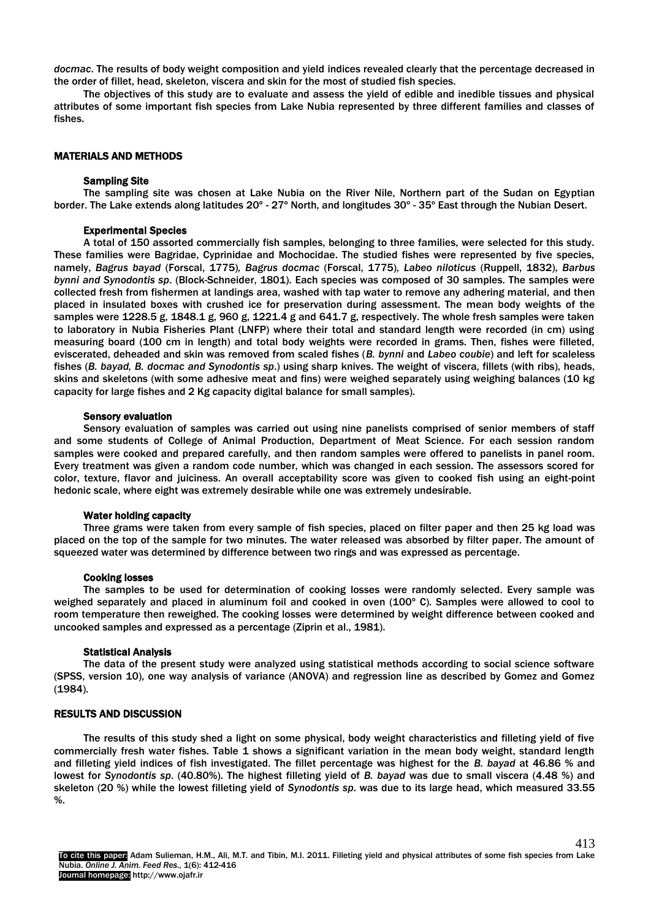*docmac*. The results of body weight composition and yield indices revealed clearly that the percentage decreased in the order of fillet, head, skeleton, viscera and skin for the most of studied fish species.

The objectives of this study are to evaluate and assess the yield of edible and inedible tissues and physical attributes of some important fish species from Lake Nubia represented by three different families and classes of fishes.

## MATERIALS AND METHODS

## Sampling Site

The sampling site was chosen at Lake Nubia on the River Nile, Northern part of the Sudan on Egyptian border. The Lake extends along latitudes 20º - 27º North, and longitudes 30º - 35º East through the Nubian Desert.

### Experimental Species

A total of 150 assorted commercially fish samples, belonging to three families, were selected for this study. These families were Bagridae, Cyprinidae and Mochocidae. The studied fishes were represented by five species, namely, *Bagrus bayad* (Forscal, 1775)*, Bagrus docmac* (Forscal, 1775)*, Labeo niloticus* (Ruppell, 1832), *Barbus bynni and Synodontis sp*. (Block-Schneider, 1801). Each species was composed of 30 samples. The samples were collected fresh from fishermen at landings area, washed with tap water to remove any adhering material, and then placed in insulated boxes with crushed ice for preservation during assessment. The mean body weights of the samples were 1228.5 g, 1848.1 g, 960 g, 1221.4 g and 641.7 g, respectively. The whole fresh samples were taken to laboratory in Nubia Fisheries Plant (LNFP) where their total and standard length were recorded (in cm) using measuring board (100 cm in length) and total body weights were recorded in grams. Then, fishes were filleted, eviscerated, deheaded and skin was removed from scaled fishes (*B. bynni* and *Labeo coubie*) and left for scaleless fishes (*B. bayad, B. docmac and Synodontis sp*.) using sharp knives. The weight of viscera, fillets (with ribs), heads, skins and skeletons (with some adhesive meat and fins) were weighed separately using weighing balances (10 kg capacity for large fishes and 2 Kg capacity digital balance for small samples).

#### Sensory evaluation

Sensory evaluation of samples was carried out using nine panelists comprised of senior members of staff and some students of College of Animal Production, Department of Meat Science. For each session random samples were cooked and prepared carefully, and then random samples were offered to panelists in panel room. Every treatment was given a random code number, which was changed in each session. The assessors scored for color, texture, flavor and juiciness. An overall acceptability score was given to cooked fish using an eight-point hedonic scale, where eight was extremely desirable while one was extremely undesirable.

#### Water holding capacity

Three grams were taken from every sample of fish species, placed on filter paper and then 25 kg load was placed on the top of the sample for two minutes. The water released was absorbed by filter paper. The amount of squeezed water was determined by difference between two rings and was expressed as percentage.

#### Cooking losses

The samples to be used for determination of cooking losses were randomly selected. Every sample was weighed separately and placed in aluminum foil and cooked in oven (100° C). Samples were allowed to cool to room temperature then reweighed. The cooking losses were determined by weight difference between cooked and uncooked samples and expressed as a percentage (Ziprin et al., 1981).

## Statistical Analysis

The data of the present study were analyzed using statistical methods according to social science software (SPSS, version 10), one way analysis of variance (ANOVA) and regression line as described by Gomez and Gomez (1984).

## RESULTS AND DISCUSSION

The results of this study shed a light on some physical, body weight characteristics and filleting yield of five commercially fresh water fishes. Table 1 shows a significant variation in the mean body weight, standard length and filleting yield indices of fish investigated. The fillet percentage was highest for the *B. bayad* at 46.86 % and lowest for *Synodontis sp*. (40.80%). The highest filleting yield of *B. bayad* was due to small viscera (4.48 %) and skeleton (20 %) while the lowest filleting yield of *Synodontis sp*. was due to its large head, which measured 33.55 %.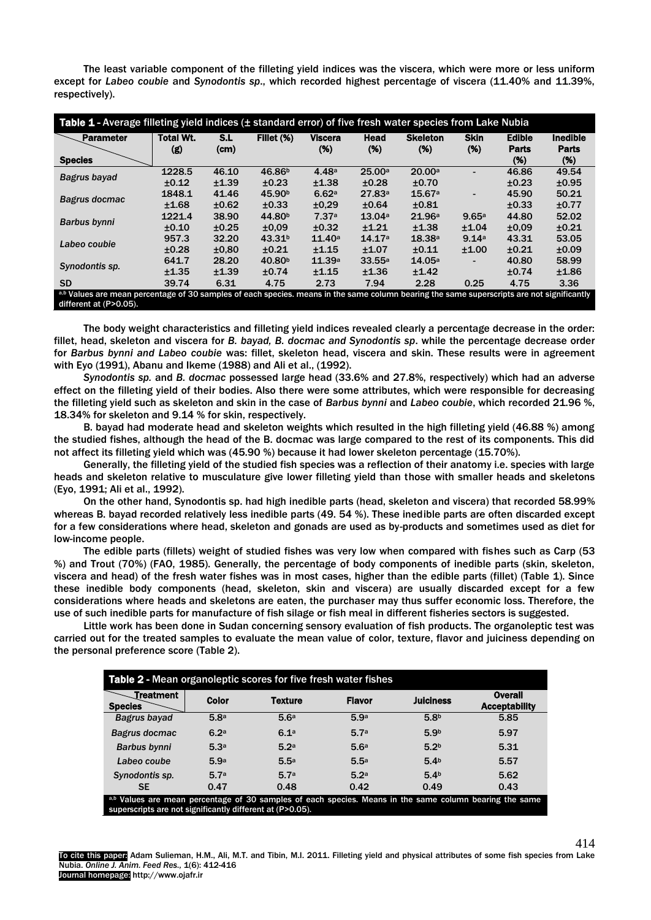The least variable component of the filleting yield indices was the viscera, which were more or less uniform except for *Labeo coubie* and *Synodontis sp*., which recorded highest percentage of viscera (11.40% and 11.39%, respectively).

| Table 1 - Average filleting yield indices (± standard error) of five fresh water species from Lake Nubia                                   |                  |       |                    |                |        |                 |                          |                               |                                 |  |  |
|--------------------------------------------------------------------------------------------------------------------------------------------|------------------|-------|--------------------|----------------|--------|-----------------|--------------------------|-------------------------------|---------------------------------|--|--|
| <b>Parameter</b>                                                                                                                           | <b>Total Wt.</b> | S.L   | Fillet (%)         | <b>Viscera</b> | Head   | <b>Skeleton</b> | <b>Skin</b>              | <b>Edible</b><br><b>Parts</b> | <b>Inedible</b><br><b>Parts</b> |  |  |
| <b>Species</b>                                                                                                                             | (g)              | (cm)  |                    | (%)            | (%)    | (%)             | (%)                      | (%)                           | (%)                             |  |  |
| Bagrus bayad                                                                                                                               | 1228.5           | 46.10 | 46.86 <sup>b</sup> | 4.48a          | 25.00a | 20.00a          |                          | 46.86                         | 49.54                           |  |  |
|                                                                                                                                            | $\pm 0.12$       | ±1.39 | ±0.23              | ±1.38          | ±0.28  | ±0.70           |                          | $\pm 0.23$                    | ±0.95                           |  |  |
| Bagrus docmac                                                                                                                              | 1848.1           | 41.46 | 45.90 <sup>b</sup> | 6.62a          | 27.83a | 15.67a          | $\overline{\phantom{0}}$ | 45.90                         | 50.21                           |  |  |
|                                                                                                                                            | ±1.68            | ±0.62 | ±0.33              | ±0.29          | ±0.64  | ±0.81           |                          | $\pm 0.33$                    | ±0.77                           |  |  |
| Barbus bynni                                                                                                                               | 1221.4           | 38.90 | 44.80 <sup>b</sup> | 7.37a          | 13.04a | 21.96a          | 9.65a                    | 44.80                         | 52.02                           |  |  |
|                                                                                                                                            | ±0.10            | ±0.25 | ±0.09              | ±0.32          | ±1.21  | ±1.38           | ±1.04                    | ±0.09                         | ±0.21                           |  |  |
| Labeo coubie                                                                                                                               | 957.3            | 32.20 | 43.31 <sup>b</sup> | 11.40a         | 14.17a | 18.38a          | 9.14a                    | 43.31                         | 53.05                           |  |  |
|                                                                                                                                            | ±0.28            | ±0.80 | ±0.21              | ±1.15          | ±1.07  | $\pm 0.11$      | ±1.00                    | ±0.21                         | ±0.09                           |  |  |
| Synodontis sp.                                                                                                                             | 641.7            | 28.20 | 40.80 <sup>b</sup> | 11.39a         | 33.55a | 14.05a          |                          | 40.80                         | 58.99                           |  |  |
|                                                                                                                                            | ±1.35            | ±1.39 | ±0.74              | ±1.15          | ±1.36  | ±1.42           |                          | ±0.74                         | ±1.86                           |  |  |
| <b>SD</b>                                                                                                                                  | 39.74            | 6.31  | 4.75               | 2.73           | 7.94   | 2.28            | 0.25                     | 4.75                          | 3.36                            |  |  |
| a,b Values are mean percentage of 30 samples of each species. means in the same column bearing the same superscripts are not significantly |                  |       |                    |                |        |                 |                          |                               |                                 |  |  |
| different at (P>0.05).                                                                                                                     |                  |       |                    |                |        |                 |                          |                               |                                 |  |  |

The body weight characteristics and filleting yield indices revealed clearly a percentage decrease in the order: fillet, head, skeleton and viscera for *B. bayad, B. docmac and Synodontis sp*. while the percentage decrease order for *Barbus bynni and Labeo coubie* was: fillet, skeleton head, viscera and skin. These results were in agreement with Eyo (1991), Abanu and Ikeme (1988) and Ali et al., (1992).

*Synodontis sp.* and *B. docmac* possessed large head (33.6% and 27.8%, respectively) which had an adverse effect on the filleting yield of their bodies. Also there were some attributes, which were responsible for decreasing the filleting yield such as skeleton and skin in the case of *Barbus bynni* and *Labeo coubie*, which recorded 21.96 %, 18.34% for skeleton and 9.14 % for skin, respectively.

B. bayad had moderate head and skeleton weights which resulted in the high filleting yield (46.88 %) among the studied fishes, although the head of the B. docmac was large compared to the rest of its components. This did not affect its filleting yield which was (45.90 %) because it had lower skeleton percentage (15.70%).

Generally, the filleting yield of the studied fish species was a reflection of their anatomy i.e. species with large heads and skeleton relative to musculature give lower filleting yield than those with smaller heads and skeletons (Eyo, 1991; Ali et al., 1992).

On the other hand, Synodontis sp. had high inedible parts (head, skeleton and viscera) that recorded 58.99% whereas B. bayad recorded relatively less inedible parts (49. 54 %). These inedible parts are often discarded except for a few considerations where head, skeleton and gonads are used as by-products and sometimes used as diet for low-income people.

The edible parts (fillets) weight of studied fishes was very low when compared with fishes such as Carp (53 %) and Trout (70%) (FAO, 1985). Generally, the percentage of body components of inedible parts (skin, skeleton, viscera and head) of the fresh water fishes was in most cases, higher than the edible parts (fillet) (Table 1). Since these inedible body components (head, skeleton, skin and viscera) are usually discarded except for a few considerations where heads and skeletons are eaten, the purchaser may thus suffer economic loss. Therefore, the use of such inedible parts for manufacture of fish silage or fish meal in different fisheries sectors is suggested.

Little work has been done in Sudan concerning sensory evaluation of fish products. The organoleptic test was carried out for the treated samples to evaluate the mean value of color, texture, flavor and juiciness depending on the personal preference score (Table 2).

| Table 2 - Mean organoleptic scores for five fresh water fishes                                                                                                       |                  |                |                  |                  |                                 |  |  |  |  |  |  |
|----------------------------------------------------------------------------------------------------------------------------------------------------------------------|------------------|----------------|------------------|------------------|---------------------------------|--|--|--|--|--|--|
| Treatment<br><b>Species</b>                                                                                                                                          | Color            | <b>Texture</b> | <b>Flavor</b>    | <b>Juiciness</b> | Overall<br><b>Acceptability</b> |  |  |  |  |  |  |
| Bagrus bayad                                                                                                                                                         | 5.8a             | 5.6a           | 5.9a             | 5.8 <sup>b</sup> | 5.85                            |  |  |  |  |  |  |
| Bagrus docmac                                                                                                                                                        | 6.2 <sup>a</sup> | 6.1a           | 5.7a             | 5.9 <sub>b</sub> | 5.97                            |  |  |  |  |  |  |
| <b>Barbus bynni</b>                                                                                                                                                  | 5.3a             | 5.2a           | 5.6a             | 5.2 <sub>b</sub> | 5.31                            |  |  |  |  |  |  |
| Labeo coube                                                                                                                                                          | 5.9a             | 5.5a           | 5.5a             | 5.4 <sub>b</sub> | 5.57                            |  |  |  |  |  |  |
| Synodontis sp.                                                                                                                                                       | 5.7a             | 5.7a           | 5.2 <sup>a</sup> | 5.4 <sup>b</sup> | 5.62                            |  |  |  |  |  |  |
| <b>SE</b>                                                                                                                                                            | 0.47             | 0.48           | 0.42             | 0.49             | 0.43                            |  |  |  |  |  |  |
| a,b Values are mean percentage of 30 samples of each species. Means in the same column bearing the same<br>superscripts are not significantly different at (P>0.05). |                  |                |                  |                  |                                 |  |  |  |  |  |  |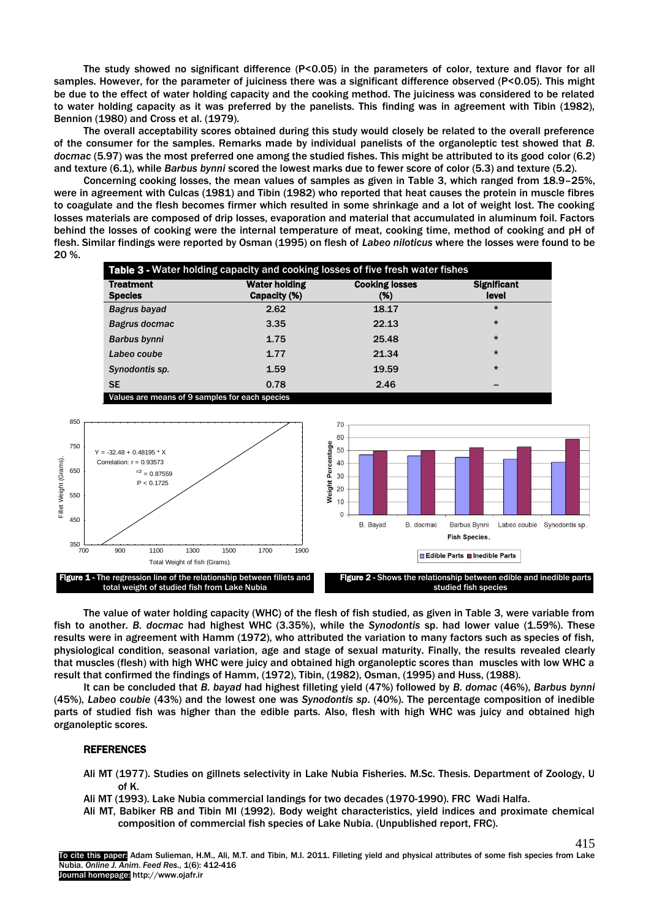The study showed no significant difference (P<0.05) in the parameters of color, texture and flavor for all samples. However, for the parameter of juiciness there was a significant difference observed (P<0.05). This might be due to the effect of water holding capacity and the cooking method. The juiciness was considered to be related to water holding capacity as it was preferred by the panelists. This finding was in agreement with Tibin (1982), Bennion (1980) and Cross et al. (1979).

The overall acceptability scores obtained during this study would closely be related to the overall preference of the consumer for the samples. Remarks made by individual panelists of the organoleptic test showed that *B. docmac* (5.97) was the most preferred one among the studied fishes. This might be attributed to its good color (6.2) and texture (6.1), while *Barbus bynni* scored the lowest marks due to fewer score of color (5.3) and texture (5.2).

Concerning cooking losses, the mean values of samples as given in Table 3, which ranged from 18.9–25%, were in agreement with Culcas (1981) and Tibin (1982) who reported that heat causes the protein in muscle fibres to coagulate and the flesh becomes firmer which resulted in some shrinkage and a lot of weight lost. The cooking losses materials are composed of drip losses, evaporation and material that accumulated in aluminum foil. Factors behind the losses of cooking were the internal temperature of meat, cooking time, method of cooking and pH of flesh. Similar findings were reported by Osman (1995) on flesh of *Labeo niloticus* where the losses were found to be 20 %.

| <b>Significant</b> |
|--------------------|
|                    |
|                    |
|                    |
|                    |
|                    |
|                    |
|                    |
|                    |

Values are means of 9 samples for each species



The value of water holding capacity (WHC) of the flesh of fish studied, as given in Table 3, were variable from fish to another. *B. docmac* had highest WHC (3.35%), while the *Synodontis* sp. had lower value (1.59%). These results were in agreement with Hamm (1972), who attributed the variation to many factors such as species of fish, physiological condition, seasonal variation, age and stage of sexual maturity. Finally, the results revealed clearly that muscles (flesh) with high WHC were juicy and obtained high organoleptic scores than muscles with low WHC a result that confirmed the findings of Hamm, (1972), Tibin, (1982), Osman, (1995) and Huss, (1988).

It can be concluded that *B. bayad* had highest filleting yield (47%) followed by *B. domac* (46%), *Barbus bynni* (45%), *Labeo coubie* (43%) and the lowest one was *Synodontis sp*. (40%). The percentage composition of inedible parts of studied fish was higher than the edible parts. Also, flesh with high WHC was juicy and obtained high organoleptic scores.

## REFERENCES

- Ali MT (1977). Studies on gillnets selectivity in Lake Nubia Fisheries. M.Sc. Thesis. Department of Zoology, U of K.
- Ali MT (1993). Lake Nubia commercial landings for two decades (1970-1990). FRC Wadi Halfa.
- Ali MT, Babiker RB and Tibin MI (1992). Body weight characteristics, yield indices and proximate chemical composition of commercial fish species of Lake Nubia. (Unpublished report, FRC).

415